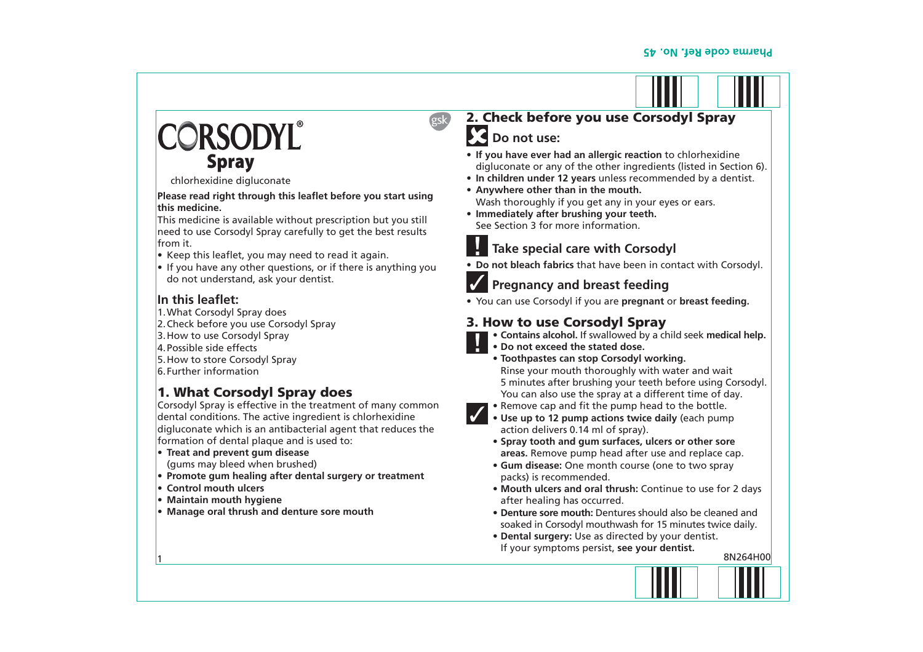# ORSODYL® **Spray**

chlorhexidine digluconate

**Please read right through this leaflet before you start using this medicine.**

This medicine is available without prescription but you still need to use Corsodyl Spray carefully to get the best results from it.

- $\bullet$  Keep this leaflet, you may need to read it again.
- $\bullet$  If you have any other questions, or if there is anything you do not understand, ask your dentist.

#### **In this leaflet:**

- 1. What Corsodyl Spray does
- 2. Check before you use Corsodyl Spray
- 3. How to use Corsodyl Spray
- 4. Possible side effects
- 5. How to store Corsodyl Spray
- 6. Further information

# 1. What Corsodyl Spray does

Corsodyl Spray is effective in the treatment of many common dental conditions. The active ingredient is chlorhexidine digluconate which is an antibacterial agent that reduces the formation of dental plaque and is used to:

- **E Treat and prevent qum disease** (gums may bleed when brushed)
- **Promote gum healing after dental surgery or treatment**
- **Example 2 Control mouth ulcers**

1

- **Maintain mouth hygiene**
- **Manage oral thrush and denture sore mouth**

# 2. Check before you use Corsodyl Spray **Do not use:**

- **If you have ever had an allergic reaction to chlorhexidine** digluconate or any of the other ingredients (listed in Section 6).
- In children under 12 vears unless recommended by a dentist.
- Anywhere other than in the mouth. Wash thoroughly if you get any in your eyes or ears.
- **Immediately after brushing your teeth.** See Section 3 for more information.



# **Take special care with Corsodyl**

• Do not bleach fabrics that have been in contact with Corsodyl.



esk

## **Pregnancy and breast feeding**

• You can use Corsodyl if you are **pregnant** or **breast feeding.** 

## 3. How to use Corsodyl Spray

- **Contains alcohol.** If swallowed by a child seek medical help.
- Do not exceed the stated dose.
	- **Toothpastes can stop Corsodyl working.** Rinse your mouth thoroughly with water and wait 5 minutes after brushing your teeth before using Corsodyl. You can also use the spray at a different time of day.
- **Remove cap and fit the pump head to the bottle.**
- Use up to 12 pump actions twice daily (each pump action delivers 0.14 ml of spray).
	- **Spray tooth and gum surfaces, ulcers or other sore areas.** Remove pump head after use and replace cap.
	- **Gum disease:** One month course (one to two spray packs) is recommended.
	- Mouth ulcers and oral thrush: Continue to use for 2 days after healing has occurred.
	- **Denture sore mouth:** Dentures should also be cleaned and soaked in Corsodyl mouthwash for 15 minutes twice daily.
- **Dental surgery:** Use as directed by your dentist. If your symptoms persist, see your dentist. 8N264H00